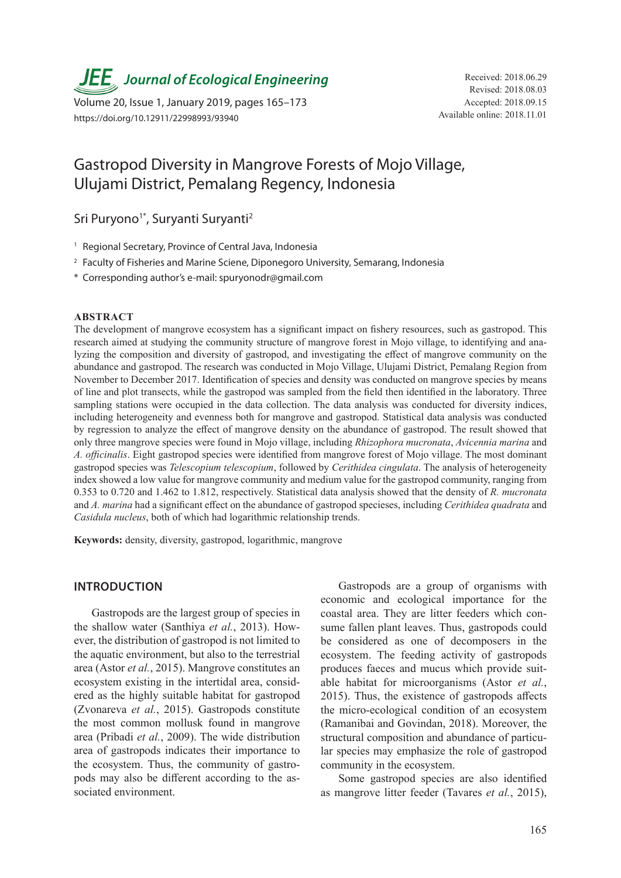*JEE* Journal of Ecological Engineering Received: 2018.06.29

Volume 20, Issue 1, January 2019, pages 165–173 https://doi.org/10.12911/22998993/93940

# Gastropod Diversity in Mangrove Forests of Mojo Village, Ulujami District, Pemalang Regency, Indonesia

Sri Puryono<sup>1\*</sup>, Suryanti Suryanti<sup>2</sup>

- <sup>1</sup> Regional Secretary, Province of Central Java, Indonesia
- <sup>2</sup> Faculty of Fisheries and Marine Sciene, Diponegoro University, Semarang, Indonesia
- \* Corresponding author's e-mail: spuryonodr@gmail.com

#### **ABSTRACT**

The development of mangrove ecosystem has a significant impact on fishery resources, such as gastropod. This research aimed at studying the community structure of mangrove forest in Mojo village, to identifying and analyzing the composition and diversity of gastropod, and investigating the effect of mangrove community on the abundance and gastropod. The research was conducted in Mojo Village, Ulujami District, Pemalang Region from November to December 2017. Identification of species and density was conducted on mangrove species by means of line and plot transects, while the gastropod was sampled from the field then identified in the laboratory. Three sampling stations were occupied in the data collection. The data analysis was conducted for diversity indices, including heterogeneity and evenness both for mangrove and gastropod. Statistical data analysis was conducted by regression to analyze the effect of mangrove density on the abundance of gastropod. The result showed that only three mangrove species were found in Mojo village, including *Rhizophora mucronata*, *Avicennia marina* and *A. officinalis*. Eight gastropod species were identified from mangrove forest of Mojo village. The most dominant gastropod species was *Telescopium telescopium*, followed by *Cerithidea cingulata*. The analysis of heterogeneity index showed a low value for mangrove community and medium value for the gastropod community, ranging from 0.353 to 0.720 and 1.462 to 1.812, respectively. Statistical data analysis showed that the density of *R. mucronata* and *A. marina* had a significant effect on the abundance of gastropod specieses, including *Cerithidea quadrata* and *Casidula nucleus*, both of which had logarithmic relationship trends.

**Keywords:** density, diversity, gastropod, logarithmic, mangrove

# **INTRODUCTION**

Gastropods are the largest group of species in the shallow water (Santhiya *et al.*, 2013). However, the distribution of gastropod is not limited to the aquatic environment, but also to the terrestrial area (Astor *et al.*, 2015). Mangrove constitutes an ecosystem existing in the intertidal area, considered as the highly suitable habitat for gastropod (Zvonareva *et al.*, 2015). Gastropods constitute the most common mollusk found in mangrove area (Pribadi *et al.*, 2009). The wide distribution area of gastropods indicates their importance to the ecosystem. Thus, the community of gastropods may also be different according to the associated environment.

Gastropods are a group of organisms with economic and ecological importance for the coastal area. They are litter feeders which consume fallen plant leaves. Thus, gastropods could be considered as one of decomposers in the ecosystem. The feeding activity of gastropods produces faeces and mucus which provide suitable habitat for microorganisms (Astor *et al.*, 2015). Thus, the existence of gastropods affects the micro-ecological condition of an ecosystem (Ramanibai and Govindan, 2018). Moreover, the structural composition and abundance of particular species may emphasize the role of gastropod community in the ecosystem.

Some gastropod species are also identified as mangrove litter feeder (Tavares *et al.*, 2015),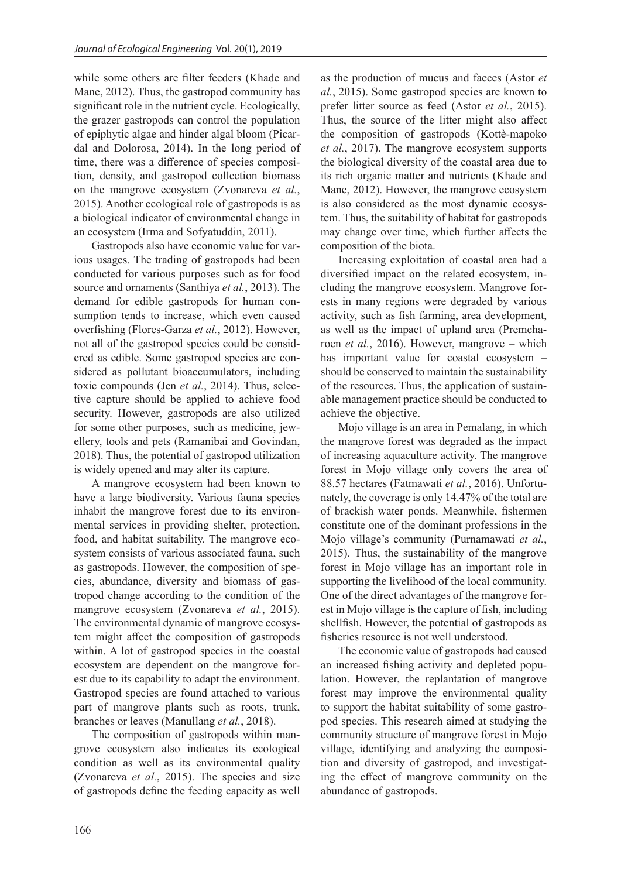while some others are filter feeders (Khade and Mane, 2012). Thus, the gastropod community has significant role in the nutrient cycle. Ecologically, the grazer gastropods can control the population of epiphytic algae and hinder algal bloom (Picardal and Dolorosa, 2014). In the long period of time, there was a difference of species composition, density, and gastropod collection biomass on the mangrove ecosystem (Zvonareva *et al.*, 2015). Another ecological role of gastropods is as a biological indicator of environmental change in an ecosystem (Irma and Sofyatuddin, 2011).

Gastropods also have economic value for various usages. The trading of gastropods had been conducted for various purposes such as for food source and ornaments (Santhiya *et al.*, 2013). The demand for edible gastropods for human consumption tends to increase, which even caused overfishing (Flores-Garza *et al.*, 2012). However, not all of the gastropod species could be considered as edible. Some gastropod species are considered as pollutant bioaccumulators, including toxic compounds (Jen *et al.*, 2014). Thus, selective capture should be applied to achieve food security. However, gastropods are also utilized for some other purposes, such as medicine, jewellery, tools and pets (Ramanibai and Govindan, 2018). Thus, the potential of gastropod utilization is widely opened and may alter its capture.

A mangrove ecosystem had been known to have a large biodiversity. Various fauna species inhabit the mangrove forest due to its environmental services in providing shelter, protection, food, and habitat suitability. The mangrove ecosystem consists of various associated fauna, such as gastropods. However, the composition of species, abundance, diversity and biomass of gastropod change according to the condition of the mangrove ecosystem (Zvonareva *et al.*, 2015). The environmental dynamic of mangrove ecosystem might affect the composition of gastropods within. A lot of gastropod species in the coastal ecosystem are dependent on the mangrove forest due to its capability to adapt the environment. Gastropod species are found attached to various part of mangrove plants such as roots, trunk, branches or leaves (Manullang *et al.*, 2018).

The composition of gastropods within mangrove ecosystem also indicates its ecological condition as well as its environmental quality (Zvonareva *et al.*, 2015). The species and size of gastropods define the feeding capacity as well

as the production of mucus and faeces (Astor *et al.*, 2015). Some gastropod species are known to prefer litter source as feed (Astor *et al.*, 2015). Thus, the source of the litter might also affect the composition of gastropods (Kottè-mapoko *et al.*, 2017). The mangrove ecosystem supports the biological diversity of the coastal area due to its rich organic matter and nutrients (Khade and Mane, 2012). However, the mangrove ecosystem is also considered as the most dynamic ecosystem. Thus, the suitability of habitat for gastropods may change over time, which further affects the composition of the biota.

Increasing exploitation of coastal area had a diversified impact on the related ecosystem, including the mangrove ecosystem. Mangrove forests in many regions were degraded by various activity, such as fish farming, area development, as well as the impact of upland area (Premcharoen *et al.*, 2016). However, mangrove – which has important value for coastal ecosystem – should be conserved to maintain the sustainability of the resources. Thus, the application of sustainable management practice should be conducted to achieve the objective.

Mojo village is an area in Pemalang, in which the mangrove forest was degraded as the impact of increasing aquaculture activity. The mangrove forest in Mojo village only covers the area of 88.57 hectares (Fatmawati *et al.*, 2016). Unfortunately, the coverage is only 14.47% of the total are of brackish water ponds. Meanwhile, fishermen constitute one of the dominant professions in the Mojo village's community (Purnamawati *et al.*, 2015). Thus, the sustainability of the mangrove forest in Mojo village has an important role in supporting the livelihood of the local community. One of the direct advantages of the mangrove forest in Mojo village is the capture of fish, including shellfish. However, the potential of gastropods as fisheries resource is not well understood.

The economic value of gastropods had caused an increased fishing activity and depleted population. However, the replantation of mangrove forest may improve the environmental quality to support the habitat suitability of some gastropod species. This research aimed at studying the community structure of mangrove forest in Mojo village, identifying and analyzing the composition and diversity of gastropod, and investigating the effect of mangrove community on the abundance of gastropods.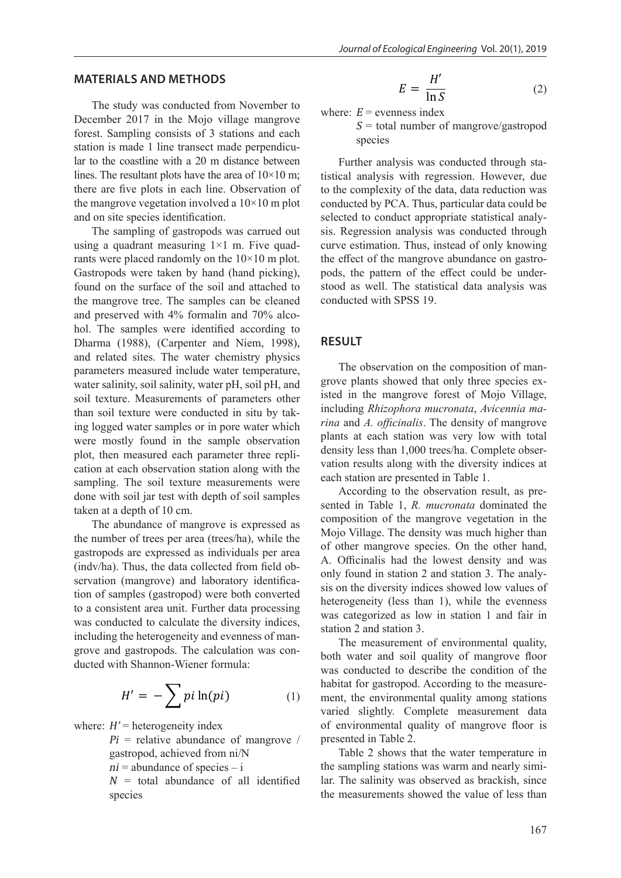### **MATERIALS AND METHODS**

The study was conducted from November to December 2017 in the Mojo village mangrove forest. Sampling consists of 3 stations and each station is made 1 line transect made perpendicular to the coastline with a 20 m distance between lines. The resultant plots have the area of  $10\times10$  m; there are five plots in each line. Observation of the mangrove vegetation involved a 10×10 m plot and on site species identification.

The sampling of gastropods was carrued out using a quadrant measuring  $1\times1$  m. Five quadrants were placed randomly on the 10×10 m plot. Gastropods were taken by hand (hand picking), found on the surface of the soil and attached to the mangrove tree. The samples can be cleaned and preserved with 4% formalin and 70% alcohol. The samples were identified according to Dharma (1988), (Carpenter and Niem, 1998), and related sites. The water chemistry physics parameters measured include water temperature, water salinity, soil salinity, water pH, soil pH, and soil texture. Measurements of parameters other than soil texture were conducted in situ by taking logged water samples or in pore water which were mostly found in the sample observation plot, then measured each parameter three replication at each observation station along with the sampling. The soil texture measurements were done with soil jar test with depth of soil samples taken at a depth of 10 cm.

The abundance of mangrove is expressed as the number of trees per area (trees/ha), while the gastropods are expressed as individuals per area (indv/ha). Thus, the data collected from field observation (mangrove) and laboratory identification of samples (gastropod) were both converted to a consistent area unit. Further data processing was conducted to calculate the diversity indices, including the heterogeneity and evenness of mangrove and gastropods. The calculation was conducted with Shannon-Wiener formula:

$$
H' = -\sum p i \ln(p i) \tag{1}
$$

where:  $H'$  = heterogeneity index

 $Pi =$  relative abundance of mangrove / gastropod, achieved from ni/N

 $ni$  = abundance of species  $-i$ 

 $N =$  total abundance of all identified species

$$
E = \frac{H'}{\ln S} \tag{2}
$$

where:  $E =$  evenness index

 $S =$  total number of mangrove/gastropod species

Further analysis was conducted through statistical analysis with regression. However, due to the complexity of the data, data reduction was conducted by PCA. Thus, particular data could be selected to conduct appropriate statistical analysis. Regression analysis was conducted through curve estimation. Thus, instead of only knowing the effect of the mangrove abundance on gastropods, the pattern of the effect could be understood as well. The statistical data analysis was conducted with SPSS 19.

## **RESULT**

The observation on the composition of mangrove plants showed that only three species existed in the mangrove forest of Mojo Village, including *Rhizophora mucronata*, *Avicennia marina* and *A. officinalis*. The density of mangrove plants at each station was very low with total density less than 1,000 trees/ha. Complete observation results along with the diversity indices at each station are presented in Table 1.

According to the observation result, as presented in Table 1, *R. mucronata* dominated the composition of the mangrove vegetation in the Mojo Village. The density was much higher than of other mangrove species. On the other hand, A. Officinalis had the lowest density and was only found in station 2 and station 3. The analysis on the diversity indices showed low values of heterogeneity (less than 1), while the evenness was categorized as low in station 1 and fair in station 2 and station 3.

The measurement of environmental quality, both water and soil quality of mangrove floor was conducted to describe the condition of the habitat for gastropod. According to the measurement, the environmental quality among stations varied slightly. Complete measurement data of environmental quality of mangrove floor is presented in Table 2.

Table 2 shows that the water temperature in the sampling stations was warm and nearly similar. The salinity was observed as brackish, since the measurements showed the value of less than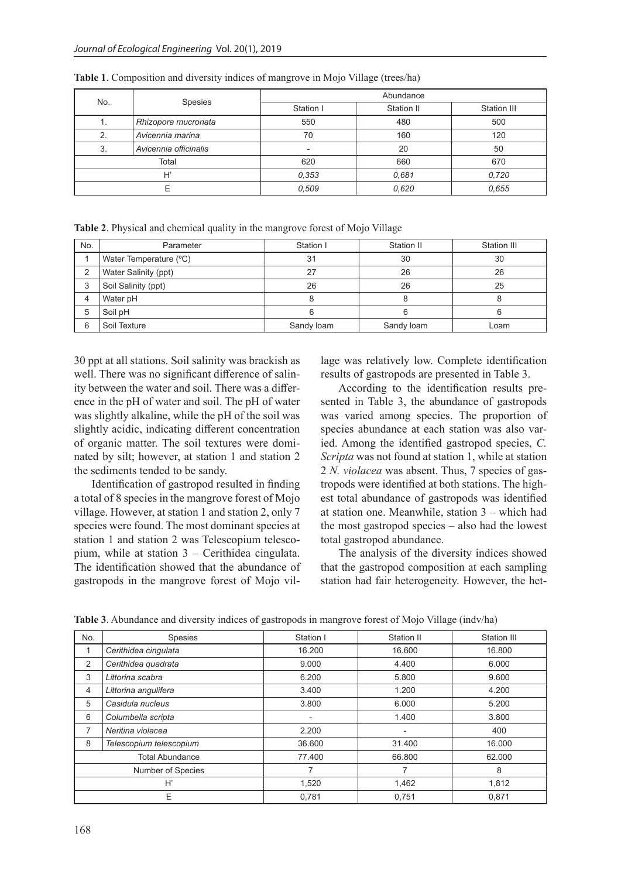| No.   | Spesies               | Abundance |            |             |
|-------|-----------------------|-----------|------------|-------------|
|       |                       | Station I | Station II | Station III |
| . .   | Rhizopora mucronata   | 550       | 480        | 500         |
| 2.    | Avicennia marina      | 70        | 160        | 120         |
| 3.    | Avicennia officinalis |           | 20         | 50          |
| Total |                       | 620       | 660        | 670         |
| H'    |                       | 0,353     | 0.681      | 0.720       |
|       |                       | 0.509     | 0.620      | 0.655       |

**Table 1**. Composition and diversity indices of mangrove in Mojo Village (trees/ha)

| <b>Table 2.</b> Physical and chemical quality in the mangrove forest of Mojo Village |  |  |  |  |
|--------------------------------------------------------------------------------------|--|--|--|--|
|--------------------------------------------------------------------------------------|--|--|--|--|

| No. | Parameter              | Station I  | Station II | Station III |
|-----|------------------------|------------|------------|-------------|
|     | Water Temperature (°C) | 31         | 30         | 30          |
|     | Water Salinity (ppt)   | 27         | 26         | 26          |
| 3   | Soil Salinity (ppt)    | 26         | 26         | 25          |
| 4   | Water pH               |            |            |             |
| 5   | Soil pH                |            |            |             |
| 6   | Soil Texture           | Sandy loam | Sandy loam | Loam        |

30 ppt at all stations. Soil salinity was brackish as well. There was no significant difference of salinity between the water and soil. There was a difference in the pH of water and soil. The pH of water was slightly alkaline, while the pH of the soil was slightly acidic, indicating different concentration of organic matter. The soil textures were dominated by silt; however, at station 1 and station 2 the sediments tended to be sandy.

Identification of gastropod resulted in finding a total of 8 species in the mangrove forest of Mojo village. However, at station 1 and station 2, only 7 species were found. The most dominant species at station 1 and station 2 was Telescopium telescopium, while at station 3 – Cerithidea cingulata. The identification showed that the abundance of gastropods in the mangrove forest of Mojo village was relatively low. Complete identification results of gastropods are presented in Table 3.

According to the identification results presented in Table 3, the abundance of gastropods was varied among species. The proportion of species abundance at each station was also varied. Among the identified gastropod species, *C. Scripta* was not found at station 1, while at station 2 *N. violacea* was absent. Thus, 7 species of gastropods were identified at both stations. The highest total abundance of gastropods was identified at station one. Meanwhile, station 3 – which had the most gastropod species – also had the lowest total gastropod abundance.

The analysis of the diversity indices showed that the gastropod composition at each sampling station had fair heterogeneity. However, the het-

| No.                    | <b>Spesies</b>          | Station I      | Station II               | Station III |
|------------------------|-------------------------|----------------|--------------------------|-------------|
|                        | Cerithidea cinqulata    | 16.200         | 16.600                   | 16.800      |
| 2                      | Cerithidea quadrata     | 9.000          | 4.400                    | 6.000       |
| 3                      | Littorina scabra        | 6.200          | 5.800                    | 9.600       |
| 4                      | Littorina angulifera    | 3.400          | 1.200                    | 4.200       |
| 5                      | Casidula nucleus        | 3.800          | 6.000                    | 5.200       |
| 6                      | Columbella scripta      | $\blacksquare$ | 1.400                    | 3.800       |
| 7                      | Neritina violacea       | 2.200          | $\overline{\phantom{a}}$ | 400         |
| 8                      | Telescopium telescopium | 36.600         | 31.400                   | 16.000      |
| <b>Total Abundance</b> |                         | 77.400         | 66.800                   | 62.000      |
| Number of Species      |                         | 7              | 7                        | 8           |
| H,                     |                         | 1,520          | 1,462                    | 1,812       |
| E                      |                         | 0,781          | 0,751                    | 0,871       |

**Table 3**. Abundance and diversity indices of gastropods in mangrove forest of Mojo Village (indv/ha)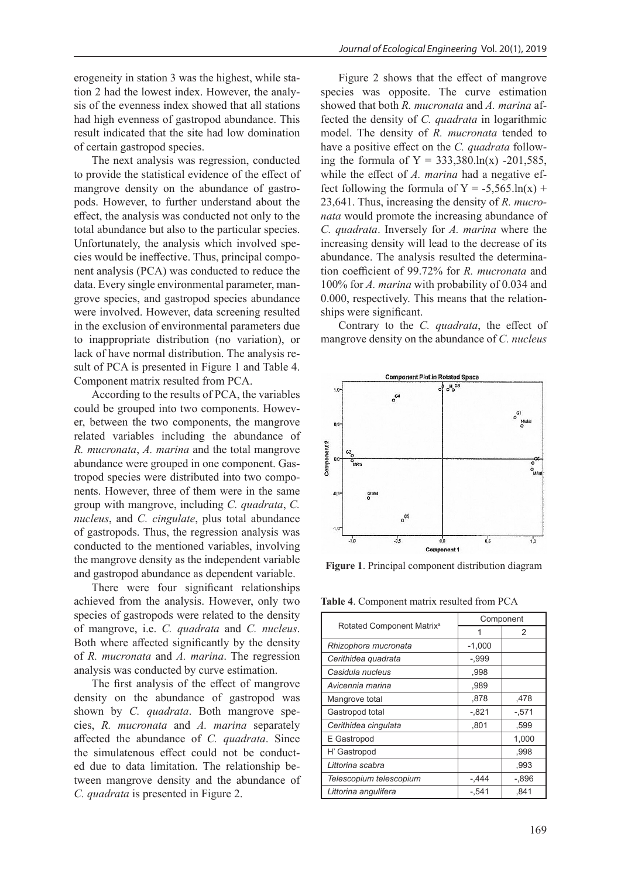erogeneity in station 3 was the highest, while station 2 had the lowest index. However, the analysis of the evenness index showed that all stations had high evenness of gastropod abundance. This result indicated that the site had low domination of certain gastropod species.

The next analysis was regression, conducted to provide the statistical evidence of the effect of mangrove density on the abundance of gastropods. However, to further understand about the effect, the analysis was conducted not only to the total abundance but also to the particular species. Unfortunately, the analysis which involved species would be ineffective. Thus, principal component analysis (PCA) was conducted to reduce the data. Every single environmental parameter, mangrove species, and gastropod species abundance were involved. However, data screening resulted in the exclusion of environmental parameters due to inappropriate distribution (no variation), or lack of have normal distribution. The analysis result of PCA is presented in Figure 1 and Table 4. Component matrix resulted from PCA.

According to the results of PCA, the variables could be grouped into two components. However, between the two components, the mangrove related variables including the abundance of *R. mucronata*, *A. marina* and the total mangrove abundance were grouped in one component. Gastropod species were distributed into two components. However, three of them were in the same group with mangrove, including *C. quadrata*, *C. nucleus*, and *C. cingulate*, plus total abundance of gastropods. Thus, the regression analysis was conducted to the mentioned variables, involving the mangrove density as the independent variable and gastropod abundance as dependent variable.

There were four significant relationships achieved from the analysis. However, only two species of gastropods were related to the density of mangrove, i.e. *C. quadrata* and *C. nucleus*. Both where affected significantly by the density of *R. mucronata* and *A. marina*. The regression analysis was conducted by curve estimation.

The first analysis of the effect of mangrove density on the abundance of gastropod was shown by *C. quadrata*. Both mangrove species, *R. mucronata* and *A. marina* separately affected the abundance of *C. quadrata*. Since the simulatenous effect could not be conducted due to data limitation. The relationship between mangrove density and the abundance of *C. quadrata* is presented in Figure 2.

Figure 2 shows that the effect of mangrove species was opposite. The curve estimation showed that both *R. mucronata* and *A. marina* affected the density of *C. quadrata* in logarithmic model. The density of *R. mucronata* tended to have a positive effect on the *C. quadrata* following the formula of  $Y = 333,380 \cdot \ln(x) - 201,585$ , while the effect of *A. marina* had a negative effect following the formula of  $Y = -5,565 \ln(x) +$ 23,641. Thus, increasing the density of *R. mucronata* would promote the increasing abundance of *C. quadrata*. Inversely for *A. marina* where the increasing density will lead to the decrease of its abundance. The analysis resulted the determination coefficient of 99.72% for *R. mucronata* and 100% for *A. marina* with probability of 0.034 and 0.000, respectively. This means that the relationships were significant.

Contrary to the *C. quadrata*, the effect of mangrove density on the abundance of *C. nucleus*



**Figure 1**. Principal component distribution diagram

**Table 4**. Component matrix resulted from PCA

| Rotated Component Matrix <sup>a</sup> | Component |                |
|---------------------------------------|-----------|----------------|
|                                       | 1         | $\mathfrak{p}$ |
| Rhizophora mucronata                  | $-1,000$  |                |
| Cerithidea quadrata                   | -,999     |                |
| Casidula nucleus                      | .998      |                |
| Avicennia marina                      | .989      |                |
| Mangrove total                        | .878      | .478           |
| Gastropod total                       | -.821     | -.571          |
| Cerithidea cingulata                  | .801      | .599           |
| E Gastropod                           |           | 1.000          |
| H' Gastropod                          |           | .998           |
| Littorina scabra                      |           | .993           |
| Telescopium telescopium               | $-.444$   | -.896          |
| Littorina angulifera                  | $-.541$   | .841           |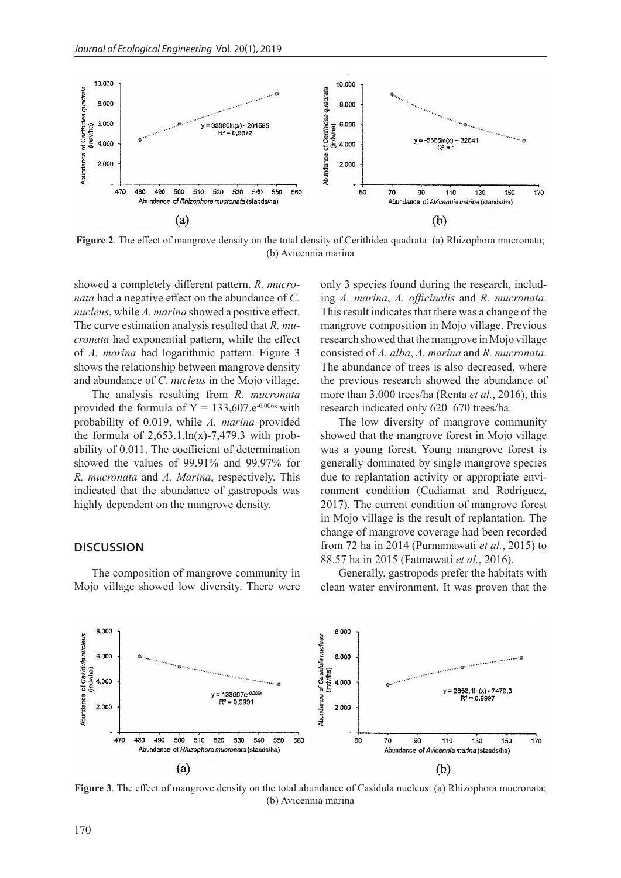

**Figure 2**. The effect of mangrove density on the total density of Cerithidea quadrata: (a) Rhizophora mucronata; (b) Avicennia marina

showed a completely different pattern. *R. mucronata* had a negative effect on the abundance of *C. nucleus*, while *A. marina* showed a positive effect. The curve estimation analysis resulted that *R. mucronata* had exponential pattern, while the effect of *A. marina* had logarithmic pattern. Figure 3 shows the relationship between mangrove density and abundance of *C. nucleus* in the Mojo village.

The analysis resulting from *R. mucronata* provided the formula of  $Y = 133,607.e^{0.006x}$  with probability of 0.019, while *A. marina* provided the formula of  $2,653.1 \ln(x)$ -7,479.3 with probability of 0.011. The coefficient of determination showed the values of 99.91% and 99.97% for *R. mucronata* and *A. Marina*, respectively. This indicated that the abundance of gastropods was highly dependent on the mangrove density.

#### **DISCUSSION**

The composition of mangrove community in Mojo village showed low diversity. There were

only 3 species found during the research, including *A. marina*, *A. officinalis* and *R. mucronata*. This result indicates that there was a change of the mangrove composition in Mojo village. Previous research showed that the mangrove in Mojo village consisted of *A. alba*, *A. marina* and *R. mucronata*. The abundance of trees is also decreased, where the previous research showed the abundance of more than 3.000 trees/ha (Renta *et al.*, 2016), this research indicated only 620–670 trees/ha.

The low diversity of mangrove community showed that the mangrove forest in Mojo village was a young forest. Young mangrove forest is generally dominated by single mangrove species due to replantation activity or appropriate environment condition (Cudiamat and Rodriguez, 2017). The current condition of mangrove forest in Mojo village is the result of replantation. The change of mangrove coverage had been recorded from 72 ha in 2014 (Purnamawati *et al.*, 2015) to 88.57 ha in 2015 (Fatmawati *et al.*, 2016).

Generally, gastropods prefer the habitats with clean water environment. It was proven that the



**Figure 3**. The effect of mangrove density on the total abundance of Casidula nucleus: (a) Rhizophora mucronata; (b) Avicennia marina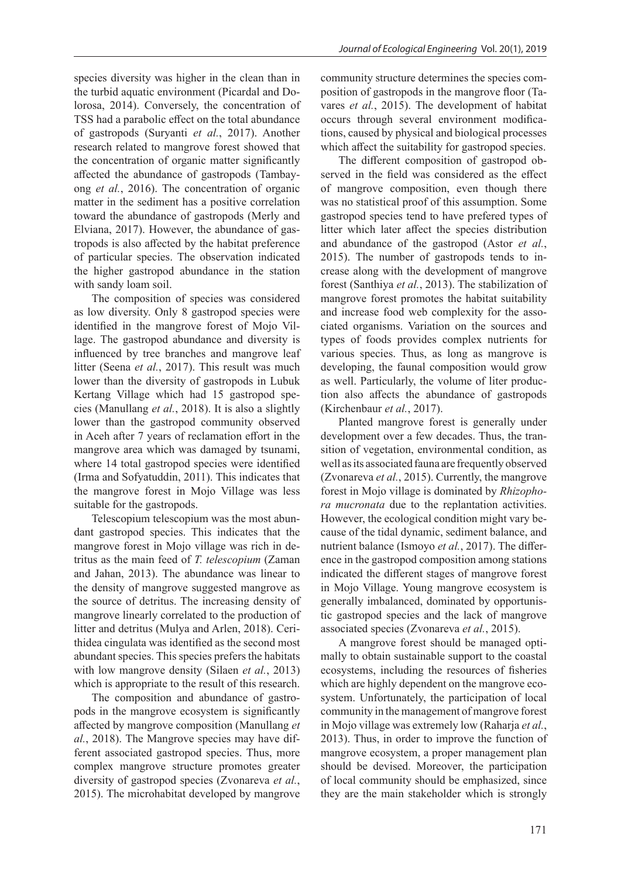species diversity was higher in the clean than in the turbid aquatic environment (Picardal and Dolorosa, 2014). Conversely, the concentration of TSS had a parabolic effect on the total abundance of gastropods (Suryanti *et al.*, 2017). Another research related to mangrove forest showed that the concentration of organic matter significantly affected the abundance of gastropods (Tambayong *et al.*, 2016). The concentration of organic matter in the sediment has a positive correlation toward the abundance of gastropods (Merly and Elviana, 2017). However, the abundance of gastropods is also affected by the habitat preference of particular species. The observation indicated the higher gastropod abundance in the station with sandy loam soil.

The composition of species was considered as low diversity. Only 8 gastropod species were identified in the mangrove forest of Mojo Village. The gastropod abundance and diversity is influenced by tree branches and mangrove leaf litter (Seena *et al.*, 2017). This result was much lower than the diversity of gastropods in Lubuk Kertang Village which had 15 gastropod species (Manullang *et al.*, 2018). It is also a slightly lower than the gastropod community observed in Aceh after 7 years of reclamation effort in the mangrove area which was damaged by tsunami, where 14 total gastropod species were identified (Irma and Sofyatuddin, 2011). This indicates that the mangrove forest in Mojo Village was less suitable for the gastropods.

Telescopium telescopium was the most abundant gastropod species. This indicates that the mangrove forest in Mojo village was rich in detritus as the main feed of *T. telescopium* (Zaman and Jahan, 2013). The abundance was linear to the density of mangrove suggested mangrove as the source of detritus. The increasing density of mangrove linearly correlated to the production of litter and detritus (Mulya and Arlen, 2018). Cerithidea cingulata was identified as the second most abundant species. This species prefers the habitats with low mangrove density (Silaen *et al.*, 2013) which is appropriate to the result of this research.

The composition and abundance of gastropods in the mangrove ecosystem is significantly affected by mangrove composition (Manullang *et al.*, 2018). The Mangrove species may have different associated gastropod species. Thus, more complex mangrove structure promotes greater diversity of gastropod species (Zvonareva *et al.*, 2015). The microhabitat developed by mangrove

community structure determines the species composition of gastropods in the mangrove floor (Tavares *et al.*, 2015). The development of habitat occurs through several environment modifications, caused by physical and biological processes which affect the suitability for gastropod species.

The different composition of gastropod observed in the field was considered as the effect of mangrove composition, even though there was no statistical proof of this assumption. Some gastropod species tend to have prefered types of litter which later affect the species distribution and abundance of the gastropod (Astor *et al.*, 2015). The number of gastropods tends to increase along with the development of mangrove forest (Santhiya *et al.*, 2013). The stabilization of mangrove forest promotes the habitat suitability and increase food web complexity for the associated organisms. Variation on the sources and types of foods provides complex nutrients for various species. Thus, as long as mangrove is developing, the faunal composition would grow as well. Particularly, the volume of liter production also affects the abundance of gastropods (Kirchenbaur *et al.*, 2017).

Planted mangrove forest is generally under development over a few decades. Thus, the transition of vegetation, environmental condition, as well as its associated fauna are frequently observed (Zvonareva *et al.*, 2015). Currently, the mangrove forest in Mojo village is dominated by *Rhizophora mucronata* due to the replantation activities. However, the ecological condition might vary because of the tidal dynamic, sediment balance, and nutrient balance (Ismoyo *et al.*, 2017). The difference in the gastropod composition among stations indicated the different stages of mangrove forest in Mojo Village. Young mangrove ecosystem is generally imbalanced, dominated by opportunistic gastropod species and the lack of mangrove associated species (Zvonareva *et al.*, 2015).

A mangrove forest should be managed optimally to obtain sustainable support to the coastal ecosystems, including the resources of fisheries which are highly dependent on the mangrove ecosystem. Unfortunately, the participation of local community in the management of mangrove forest in Mojo village was extremely low (Raharja *et al.*, 2013). Thus, in order to improve the function of mangrove ecosystem, a proper management plan should be devised. Moreover, the participation of local community should be emphasized, since they are the main stakeholder which is strongly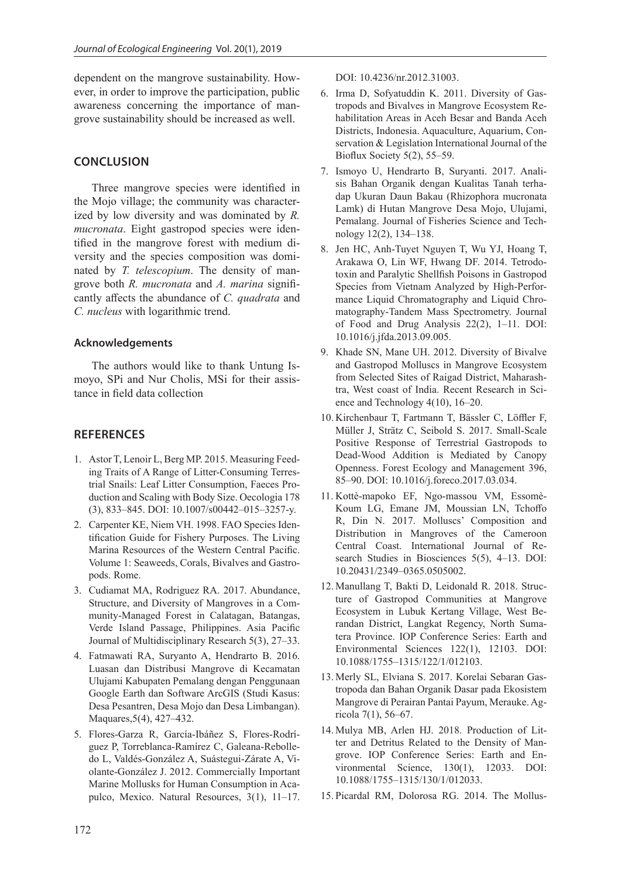dependent on the mangrove sustainability. However, in order to improve the participation, public awareness concerning the importance of mangrove sustainability should be increased as well.

# **CONCLUSION**

Three mangrove species were identified in the Mojo village; the community was characterized by low diversity and was dominated by *R. mucronata*. Eight gastropod species were identified in the mangrove forest with medium diversity and the species composition was dominated by *T. telescopium*. The density of mangrove both *R. mucronata* and *A. marina* significantly affects the abundance of *C. quadrata* and *C. nucleus* with logarithmic trend.

#### **Acknowledgements**

The authors would like to thank Untung Ismoyo, SPi and Nur Cholis, MSi for their assistance in field data collection

## **REFERENCES**

- 1. Astor T, Lenoir L, Berg MP. 2015. Measuring Feeding Traits of A Range of Litter-Consuming Terrestrial Snails: Leaf Litter Consumption, Faeces Production and Scaling with Body Size. Oecologia 178 (3), 833–845. DOI: 10.1007/s00442–015–3257-y.
- 2. Carpenter KE, Niem VH. 1998. FAO Species Identification Guide for Fishery Purposes. The Living Marina Resources of the Western Central Pacific. Volume 1: Seaweeds, Corals, Bivalves and Gastropods. Rome.
- 3. Cudiamat MA, Rodriguez RA. 2017. Abundance, Structure, and Diversity of Mangroves in a Community-Managed Forest in Calatagan, Batangas, Verde Island Passage, Philippines. Asia Pacific Journal of Multidisciplinary Research 5(3), 27–33.
- 4. Fatmawati RA, Suryanto A, Hendrarto B. 2016. Luasan dan Distribusi Mangrove di Kecamatan Ulujami Kabupaten Pemalang dengan Penggunaan Google Earth dan Software ArcGIS (Studi Kasus: Desa Pesantren, Desa Mojo dan Desa Limbangan). Maquares,5(4), 427–432.
- 5. Flores-Garza R, García-Ibáñez S, Flores-Rodríguez P, Torreblanca-Ramírez C, Galeana-Rebolledo L, Valdés-González A, Suástegui-Zárate A, Violante-González J. 2012. Commercially Important Marine Mollusks for Human Consumption in Acapulco, Mexico. Natural Resources, 3(1), 11–17.

DOI: 10.4236/nr.2012.31003.

- 6. Irma D, Sofyatuddin K. 2011. Diversity of Gastropods and Bivalves in Mangrove Ecosystem Rehabilitation Areas in Aceh Besar and Banda Aceh Districts, Indonesia. Aquaculture, Aquarium, Conservation & Legislation International Journal of the Bioflux Society 5(2), 55–59.
- 7. Ismoyo U, Hendrarto B, Suryanti. 2017. Analisis Bahan Organik dengan Kualitas Tanah terhadap Ukuran Daun Bakau (Rhizophora mucronata Lamk) di Hutan Mangrove Desa Mojo, Ulujami, Pemalang. Journal of Fisheries Science and Technology 12(2), 134–138.
- 8. Jen HC, Anh-Tuyet Nguyen T, Wu YJ, Hoang T, Arakawa O, Lin WF, Hwang DF. 2014. Tetrodotoxin and Paralytic Shellfish Poisons in Gastropod Species from Vietnam Analyzed by High-Performance Liquid Chromatography and Liquid Chromatography-Tandem Mass Spectrometry. Journal of Food and Drug Analysis 22(2), 1–11. DOI: 10.1016/j.jfda.2013.09.005.
- 9. Khade SN, Mane UH. 2012. Diversity of Bivalve and Gastropod Molluscs in Mangrove Ecosystem from Selected Sites of Raigad District, Maharashtra, West coast of India. Recent Research in Science and Technology 4(10), 16–20.
- 10. Kirchenbaur T, Fartmann T, Bässler C, Löffler F, Müller J, Strätz C, Seibold S. 2017. Small-Scale Positive Response of Terrestrial Gastropods to Dead-Wood Addition is Mediated by Canopy Openness. Forest Ecology and Management 396, 85–90. DOI: 10.1016/j.foreco.2017.03.034.
- 11. Kottè-mapoko EF, Ngo-massou VM, Essomè-Koum LG, Emane JM, Moussian LN, Tchoffo R, Din N. 2017. Molluscs' Composition and Distribution in Mangroves of the Cameroon Central Coast. International Journal of Research Studies in Biosciences 5(5), 4–13. DOI: 10.20431/2349–0365.0505002.
- 12. Manullang T, Bakti D, Leidonald R. 2018. Structure of Gastropod Communities at Mangrove Ecosystem in Lubuk Kertang Village, West Berandan District, Langkat Regency, North Sumatera Province. IOP Conference Series: Earth and Environmental Sciences 122(1), 12103. DOI: 10.1088/1755–1315/122/1/012103.
- 13. Merly SL, Elviana S. 2017. Korelai Sebaran Gastropoda dan Bahan Organik Dasar pada Ekosistem Mangrove di Perairan Pantai Payum, Merauke. Agricola 7(1), 56–67.
- 14. Mulya MB, Arlen HJ. 2018. Production of Litter and Detritus Related to the Density of Mangrove. IOP Conference Series: Earth and Environmental Science, 130(1), 12033. DOI: 10.1088/1755–1315/130/1/012033.
- 15. Picardal RM, Dolorosa RG. 2014. The Mollus-